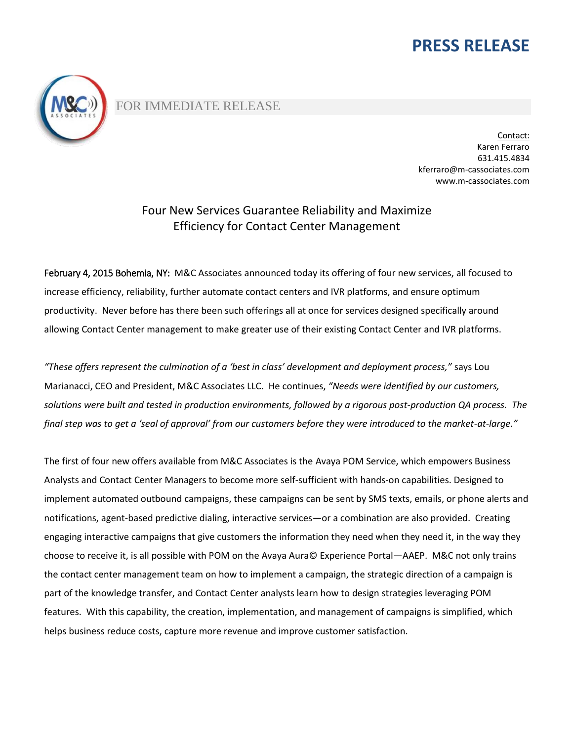# **PRESS RELEASE**



### FOR IMMEDIATE RELEASE

Contact: Karen Ferraro 631.415.4834 [kferraro@m-cassociates.com](mailto:kferraro@m-cassociates.com) [www.m-cassociates.com](http://www.m-cassociates.com/)

## Four New Services Guarantee Reliability and Maximize Efficiency for Contact Center Management

February 4, 2015 Bohemia, NY: M&C Associates announced today its offering of four new services, all focused to increase efficiency, reliability, further automate contact centers and IVR platforms, and ensure optimum productivity. Never before has there been such offerings all at once for services designed specifically around allowing Contact Center management to make greater use of their existing Contact Center and IVR platforms.

*"These offers represent the culmination of a 'best in class' development and deployment process,"* says Lou Marianacci, CEO and President, M&C Associates LLC. He continues, *"Needs were identified by our customers, solutions were built and tested in production environments, followed by a rigorous post-production QA process. The final step was to get a 'seal of approval' from our customers before they were introduced to the market-at-large."* 

The first of four new offers available from M&C Associates is the Avaya POM Service, which empowers Business Analysts and Contact Center Managers to become more self-sufficient with hands-on capabilities. Designed to implement automated outbound campaigns, these campaigns can be sent by SMS texts, emails, or phone alerts and notifications, agent-based predictive dialing, interactive services—or a combination are also provided. Creating engaging interactive campaigns that give customers the information they need when they need it, in the way they choose to receive it, is all possible with POM on the Avaya Aura© Experience Portal—AAEP. M&C not only trains the contact center management team on how to implement a campaign, the strategic direction of a campaign is part of the knowledge transfer, and Contact Center analysts learn how to design strategies leveraging POM features. With this capability, the creation, implementation, and management of campaigns is simplified, which helps business reduce costs, capture more revenue and improve customer satisfaction.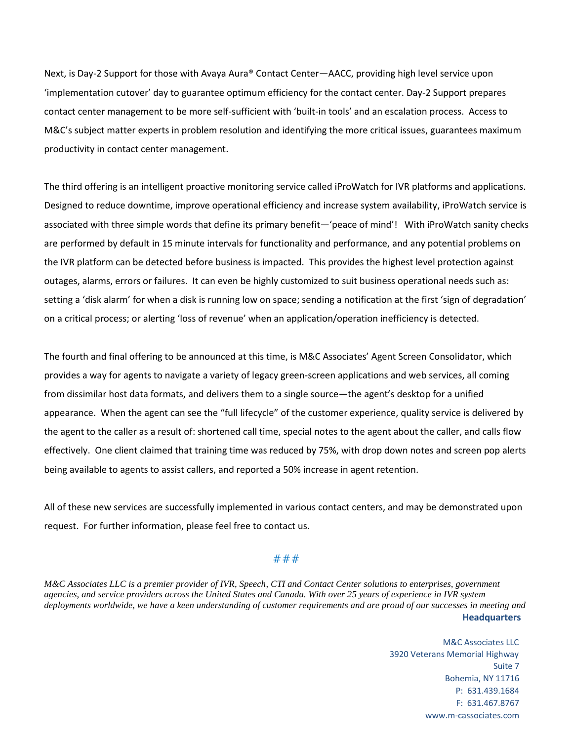Next, is Day-2 Support for those with Avaya Aura® Contact Center—AACC, providing high level service upon 'implementation cutover' day to guarantee optimum efficiency for the contact center. Day-2 Support prepares contact center management to be more self-sufficient with 'built-in tools' and an escalation process. Access to M&C's subject matter experts in problem resolution and identifying the more critical issues, guarantees maximum productivity in contact center management.

The third offering is an intelligent proactive monitoring service called iProWatch for IVR platforms and applications. Designed to reduce downtime, improve operational efficiency and increase system availability, iProWatch service is associated with three simple words that define its primary benefit—'peace of mind'! With iProWatch sanity checks are performed by default in 15 minute intervals for functionality and performance, and any potential problems on the IVR platform can be detected before business is impacted. This provides the highest level protection against outages, alarms, errors or failures. It can even be highly customized to suit business operational needs such as: setting a 'disk alarm' for when a disk is running low on space; sending a notification at the first 'sign of degradation' on a critical process; or alerting 'loss of revenue' when an application/operation inefficiency is detected.

The fourth and final offering to be announced at this time, is M&C Associates' Agent Screen Consolidator, which provides a way for agents to navigate a variety of legacy green-screen applications and web services, all coming from dissimilar host data formats, and delivers them to a single source—the agent's desktop for a unified appearance. When the agent can see the "full lifecycle" of the customer experience, quality service is delivered by the agent to the caller as a result of: shortened call time, special notes to the agent about the caller, and calls flow effectively. One client claimed that training time was reduced by 75%, with drop down notes and screen pop alerts being available to agents to assist callers, and reported a 50% increase in agent retention.

All of these new services are successfully implemented in various contact centers, and may be demonstrated upon request. For further information, please feel free to contact us.

### ###

**Headquarters** *M&C Associates LLC is a premier provider of IVR, Speech, CTI and Contact Center solutions to enterprises, government agencies, and service providers across the United States and Canada. With over 25 years of experience in IVR system deployments worldwide, we have a keen understanding of customer requirements and are proud of our successes in meeting and* 

> M&C Associates LLC 3920 Veterans Memorial Highway Suite 7 Bohemia, NY 11716 P: 631.439.1684 F: 631.467.8767 www.m-cassociates.com